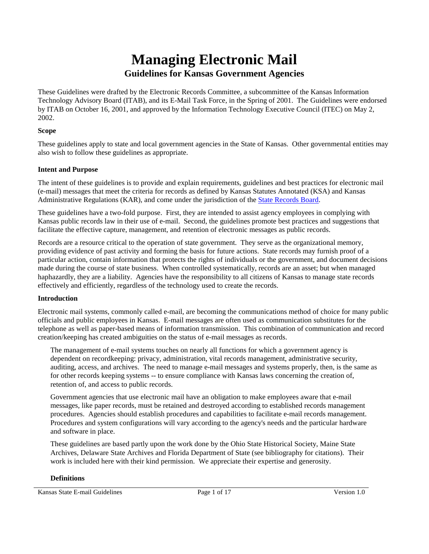# **Managing Electronic Mail Guidelines for Kansas Government Agencies**

These Guidelines were drafted by the Electronic Records Committee, a subcommittee of the Kansas Information Technology Advisory Board (ITAB), and its E-Mail Task Force, in the Spring of 2001. The Guidelines were endorsed by ITAB on October 16, 2001, and approved by the Information Technology Executive Council (ITEC) on May 2, 2002.

## **Scope**

These guidelines apply to state and local government agencies in the State of Kansas. Other governmental entities may also wish to follow these guidelines as appropriate.

# **Intent and Purpose**

The intent of these guidelines is to provide and explain requirements, guidelines and best practices for electronic mail (e-mail) messages that meet the criteria for records as defined by Kansas Statutes Annotated (KSA) and Kansas Administrative Regulations (KAR), and come under the jurisdiction of the State Records Board.

These guidelines have a two-fold purpose. First, they are intended to assist agency employees in complying with Kansas public records law in their use of e-mail. Second, the guidelines promote best practices and suggestions that facilitate the effective capture, management, and retention of electronic messages as public records.

Records are a resource critical to the operation of state government. They serve as the organizational memory, providing evidence of past activity and forming the basis for future actions. State records may furnish proof of a particular action, contain information that protects the rights of individuals or the government, and document decisions made during the course of state business. When controlled systematically, records are an asset; but when managed haphazardly, they are a liability. Agencies have the responsibility to all citizens of Kansas to manage state records effectively and efficiently, regardless of the technology used to create the records.

### **Introduction**

Electronic mail systems, commonly called e-mail, are becoming the communications method of choice for many public officials and public employees in Kansas. E-mail messages are often used as communication substitutes for the telephone as well as paper-based means of information transmission. This combination of communication and record creation/keeping has created ambiguities on the status of e-mail messages as records.

The management of e-mail systems touches on nearly all functions for which a government agency is dependent on recordkeeping: privacy, administration, vital records management, administrative security, auditing, access, and archives. The need to manage e-mail messages and systems properly, then, is the same as for other records keeping systems -- to ensure compliance with Kansas laws concerning the creation of, retention of, and access to public records.

Government agencies that use electronic mail have an obligation to make employees aware that e-mail messages, like paper records, must be retained and destroyed according to established records management procedures. Agencies should establish procedures and capabilities to facilitate e-mail records management. Procedures and system configurations will vary according to the agency's needs and the particular hardware and software in place.

These guidelines are based partly upon the work done by the Ohio State Historical Society, Maine State Archives, Delaware State Archives and Florida Department of State (see bibliography for citations). Their work is included here with their kind permission. We appreciate their expertise and generosity.

### **Definitions**

Kansas State E-mail Guidelines Page 1 of 17 Version 1.0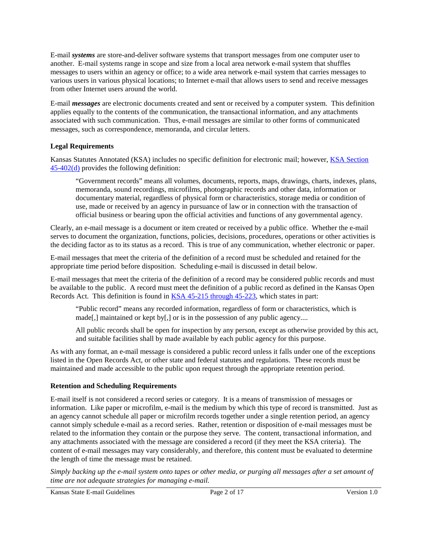E-mail *systems* are store-and-deliver software systems that transport messages from one computer user to another. E-mail systems range in scope and size from a local area network e-mail system that shuffles messages to users within an agency or office; to a wide area network e-mail system that carries messages to various users in various physical locations; to Internet e-mail that allows users to send and receive messages from other Internet users around the world.

E-mail *messages* are electronic documents created and sent or received by a computer system. This definition applies equally to the contents of the communication, the transactional information, and any attachments associated with such communication. Thus, e-mail messages are similar to other forms of communicated messages, such as correspondence, memoranda, and circular letters.

## **Legal Requirements**

Kansas Statutes Annotated (KSA) includes no specific definition for electronic mail; however, KSA Section 45-402(d) provides the following definition:

"Government records" means all volumes, documents, reports, maps, drawings, charts, indexes, plans, memoranda, sound recordings, microfilms, photographic records and other data, information or documentary material, regardless of physical form or characteristics, storage media or condition of use, made or received by an agency in pursuance of law or in connection with the transaction of official business or bearing upon the official activities and functions of any governmental agency.

Clearly, an e-mail message is a document or item created or received by a public office. Whether the e-mail serves to document the organization, functions, policies, decisions, procedures, operations or other activities is the deciding factor as to its status as a record. This is true of any communication, whether electronic or paper.

E-mail messages that meet the criteria of the definition of a record must be scheduled and retained for the appropriate time period before disposition. Scheduling e-mail is discussed in detail below.

E-mail messages that meet the criteria of the definition of a record may be considered public records and must be available to the public. A record must meet the definition of a public record as defined in the Kansas Open Records Act. This definition is found in KSA 45-215 through 45-223, which states in part:

"Public record" means any recorded information, regardless of form or characteristics, which is made[,] maintained or kept by[,] or is in the possession of any public agency....

All public records shall be open for inspection by any person, except as otherwise provided by this act, and suitable facilities shall by made available by each public agency for this purpose.

As with any format, an e-mail message is considered a public record unless it falls under one of the exceptions listed in the Open Records Act, or other state and federal statutes and regulations. These records must be maintained and made accessible to the public upon request through the appropriate retention period.

### **Retention and Scheduling Requirements**

E-mail itself is not considered a record series or category. It is a means of transmission of messages or information. Like paper or microfilm, e-mail is the medium by which this type of record is transmitted. Just as an agency cannot schedule all paper or microfilm records together under a single retention period, an agency cannot simply schedule e-mail as a record series. Rather, retention or disposition of e-mail messages must be related to the information they contain or the purpose they serve. The content, transactional information, and any attachments associated with the message are considered a record (if they meet the KSA criteria). The content of e-mail messages may vary considerably, and therefore, this content must be evaluated to determine the length of time the message must be retained.

*Simply backing up the e-mail system onto tapes or other media, or purging all messages after a set amount of time are not adequate strategies for managing e-mail.* 

Kansas State E-mail Guidelines Page 2 of 17 Version 1.0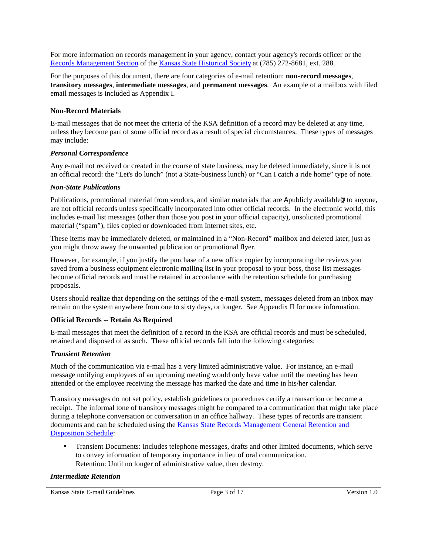For more information on records management in your agency, contact your agency's records officer or the Records Management Section of the Kansas State Historical Society at (785) 272-8681, ext. 288.

For the purposes of this document, there are four categories of e-mail retention: **non-record messages**, **transitory messages**, **intermediate messages**, and **permanent messages**. An example of a mailbox with filed email messages is included as Appendix I.

### **Non-Record Materials**

E-mail messages that do not meet the criteria of the KSA definition of a record may be deleted at any time, unless they become part of some official record as a result of special circumstances. These types of messages may include:

### *Personal Correspondence*

Any e-mail not received or created in the course of state business, may be deleted immediately, since it is not an official record: the "Let's do lunch" (not a State-business lunch) or "Can I catch a ride home" type of note.

### *Non-State Publications*

Publications, promotional material from vendors, and similar materials that are Apublicly available@ to anyone, are not official records unless specifically incorporated into other official records. In the electronic world, this includes e-mail list messages (other than those you post in your official capacity), unsolicited promotional material ("spam"), files copied or downloaded from Internet sites, etc.

These items may be immediately deleted, or maintained in a "Non-Record" mailbox and deleted later, just as you might throw away the unwanted publication or promotional flyer.

However, for example, if you justify the purchase of a new office copier by incorporating the reviews you saved from a business equipment electronic mailing list in your proposal to your boss, those list messages become official records and must be retained in accordance with the retention schedule for purchasing proposals.

Users should realize that depending on the settings of the e-mail system, messages deleted from an inbox may remain on the system anywhere from one to sixty days, or longer. See Appendix II for more information.

### **Official Records -- Retain As Required**

E-mail messages that meet the definition of a record in the KSA are official records and must be scheduled, retained and disposed of as such. These official records fall into the following categories:

### *Transient Retention*

Much of the communication via e-mail has a very limited administrative value. For instance, an e-mail message notifying employees of an upcoming meeting would only have value until the meeting has been attended or the employee receiving the message has marked the date and time in his/her calendar.

Transitory messages do not set policy, establish guidelines or procedures certify a transaction or become a receipt. The informal tone of transitory messages might be compared to a communication that might take place during a telephone conversation or conversation in an office hallway. These types of records are transient documents and can be scheduled using the **Kansas State Records Management General Retention** and Disposition Schedule:

• Transient Documents: Includes telephone messages, drafts and other limited documents, which serve to convey information of temporary importance in lieu of oral communication. Retention: Until no longer of administrative value, then destroy.

#### *Intermediate Retention*

Kansas State E-mail Guidelines Page 3 of 17 Version 1.0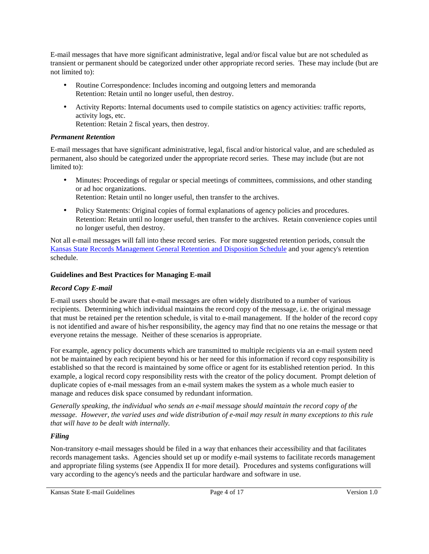E-mail messages that have more significant administrative, legal and/or fiscal value but are not scheduled as transient or permanent should be categorized under other appropriate record series. These may include (but are not limited to):

- Routine Correspondence: Includes incoming and outgoing letters and memoranda Retention: Retain until no longer useful, then destroy.
- Activity Reports: Internal documents used to compile statistics on agency activities: traffic reports, activity logs, etc.

Retention: Retain 2 fiscal years, then destroy.

# *Permanent Retention*

E-mail messages that have significant administrative, legal, fiscal and/or historical value, and are scheduled as permanent, also should be categorized under the appropriate record series. These may include (but are not limited to):

- Minutes: Proceedings of regular or special meetings of committees, commissions, and other standing or ad hoc organizations. Retention: Retain until no longer useful, then transfer to the archives.
- Policy Statements: Original copies of formal explanations of agency policies and procedures. Retention: Retain until no longer useful, then transfer to the archives. Retain convenience copies until no longer useful, then destroy.

Not all e-mail messages will fall into these record series. For more suggested retention periods, consult the Kansas State Records Management General Retention and Disposition Schedule and your agency's retention schedule.

# **Guidelines and Best Practices for Managing E-mail**

# *Record Copy E-mail*

E-mail users should be aware that e-mail messages are often widely distributed to a number of various recipients. Determining which individual maintains the record copy of the message, i.e. the original message that must be retained per the retention schedule, is vital to e-mail management. If the holder of the record copy is not identified and aware of his/her responsibility, the agency may find that no one retains the message or that everyone retains the message. Neither of these scenarios is appropriate.

For example, agency policy documents which are transmitted to multiple recipients via an e-mail system need not be maintained by each recipient beyond his or her need for this information if record copy responsibility is established so that the record is maintained by some office or agent for its established retention period. In this example, a logical record copy responsibility rests with the creator of the policy document. Prompt deletion of duplicate copies of e-mail messages from an e-mail system makes the system as a whole much easier to manage and reduces disk space consumed by redundant information.

*Generally speaking, the individual who sends an e-mail message should maintain the record copy of the message. However, the varied uses and wide distribution of e-mail may result in many exceptions to this rule that will have to be dealt with internally.*

# *Filing*

Non-transitory e-mail messages should be filed in a way that enhances their accessibility and that facilitates records management tasks. Agencies should set up or modify e-mail systems to facilitate records management and appropriate filing systems (see Appendix II for more detail). Procedures and systems configurations will vary according to the agency's needs and the particular hardware and software in use.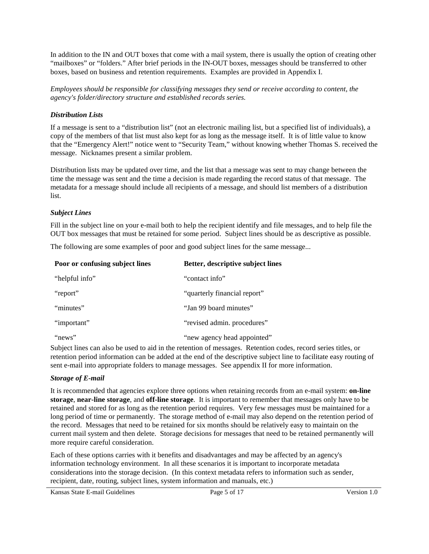In addition to the IN and OUT boxes that come with a mail system, there is usually the option of creating other "mailboxes" or "folders." After brief periods in the IN-OUT boxes, messages should be transferred to other boxes, based on business and retention requirements. Examples are provided in Appendix I.

*Employees should be responsible for classifying messages they send or receive according to content, the agency's folder/directory structure and established records series.*

### *Distribution Lists*

If a message is sent to a "distribution list" (not an electronic mailing list, but a specified list of individuals), a copy of the members of that list must also kept for as long as the message itself. It is of little value to know that the "Emergency Alert!" notice went to "Security Team," without knowing whether Thomas S. received the message. Nicknames present a similar problem.

Distribution lists may be updated over time, and the list that a message was sent to may change between the time the message was sent and the time a decision is made regarding the record status of that message. The metadata for a message should include all recipients of a message, and should list members of a distribution list.

### *Subject Lines*

Fill in the subject line on your e-mail both to help the recipient identify and file messages, and to help file the OUT box messages that must be retained for some period. Subject lines should be as descriptive as possible.

The following are some examples of poor and good subject lines for the same message...

| Poor or confusing subject lines | Better, descriptive subject lines |
|---------------------------------|-----------------------------------|
| "helpful info"                  | "contact info"                    |
| "report"                        | "quarterly financial report"      |
| "minutes"                       | "Jan 99 board minutes"            |
| "important"                     | "revised admin. procedures"       |
| "news"                          | "new agency head appointed"       |

Subject lines can also be used to aid in the retention of messages. Retention codes, record series titles, or retention period information can be added at the end of the descriptive subject line to facilitate easy routing of sent e-mail into appropriate folders to manage messages. See appendix II for more information.

### *Storage of E-mail*

It is recommended that agencies explore three options when retaining records from an e-mail system: **on-line storage**, **near-line storage**, and **off-line storage**. It is important to remember that messages only have to be retained and stored for as long as the retention period requires. Very few messages must be maintained for a long period of time or permanently. The storage method of e-mail may also depend on the retention period of the record. Messages that need to be retained for six months should be relatively easy to maintain on the current mail system and then delete. Storage decisions for messages that need to be retained permanently will more require careful consideration.

Each of these options carries with it benefits and disadvantages and may be affected by an agency's information technology environment. In all these scenarios it is important to incorporate metadata considerations into the storage decision. (In this context metadata refers to information such as sender, recipient, date, routing, subject lines, system information and manuals, etc.)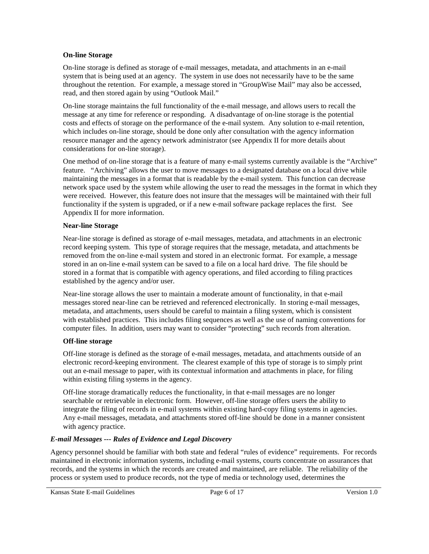### **On-line Storage**

On-line storage is defined as storage of e-mail messages, metadata, and attachments in an e-mail system that is being used at an agency. The system in use does not necessarily have to be the same throughout the retention. For example, a message stored in "GroupWise Mail" may also be accessed, read, and then stored again by using "Outlook Mail."

On-line storage maintains the full functionality of the e-mail message, and allows users to recall the message at any time for reference or responding. A disadvantage of on-line storage is the potential costs and effects of storage on the performance of the e-mail system. Any solution to e-mail retention, which includes on-line storage, should be done only after consultation with the agency information resource manager and the agency network administrator (see Appendix II for more details about considerations for on-line storage).

One method of on-line storage that is a feature of many e-mail systems currently available is the "Archive" feature. "Archiving" allows the user to move messages to a designated database on a local drive while maintaining the messages in a format that is readable by the e-mail system. This function can decrease network space used by the system while allowing the user to read the messages in the format in which they were received. However, this feature does not insure that the messages will be maintained with their full functionality if the system is upgraded, or if a new e-mail software package replaces the first. See Appendix II for more information.

# **Near-line Storage**

Near-line storage is defined as storage of e-mail messages, metadata, and attachments in an electronic record keeping system. This type of storage requires that the message, metadata, and attachments be removed from the on-line e-mail system and stored in an electronic format. For example, a message stored in an on-line e-mail system can be saved to a file on a local hard drive. The file should be stored in a format that is compatible with agency operations, and filed according to filing practices established by the agency and/or user.

Near-line storage allows the user to maintain a moderate amount of functionality, in that e-mail messages stored near-line can be retrieved and referenced electronically. In storing e-mail messages, metadata, and attachments, users should be careful to maintain a filing system, which is consistent with established practices. This includes filing sequences as well as the use of naming conventions for computer files. In addition, users may want to consider "protecting" such records from alteration.

# **Off-line storage**

Off-line storage is defined as the storage of e-mail messages, metadata, and attachments outside of an electronic record-keeping environment. The clearest example of this type of storage is to simply print out an e-mail message to paper, with its contextual information and attachments in place, for filing within existing filing systems in the agency.

Off-line storage dramatically reduces the functionality, in that e-mail messages are no longer searchable or retrievable in electronic form. However, off-line storage offers users the ability to integrate the filing of records in e-mail systems within existing hard-copy filing systems in agencies. Any e-mail messages, metadata, and attachments stored off-line should be done in a manner consistent with agency practice.

# *E-mail Messages --- Rules of Evidence and Legal Discovery*

Agency personnel should be familiar with both state and federal "rules of evidence" requirements. For records maintained in electronic information systems, including e-mail systems, courts concentrate on assurances that records, and the systems in which the records are created and maintained, are reliable. The reliability of the process or system used to produce records, not the type of media or technology used, determines the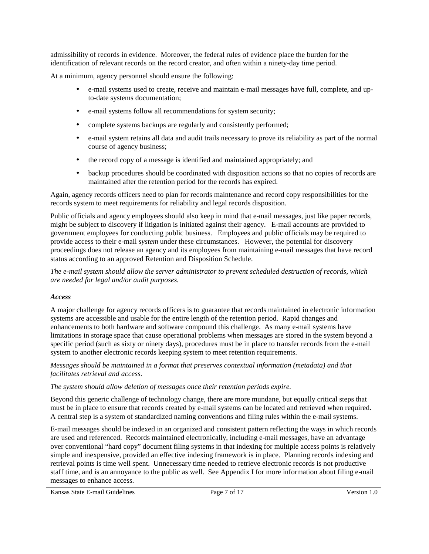admissibility of records in evidence. Moreover, the federal rules of evidence place the burden for the identification of relevant records on the record creator, and often within a ninety-day time period.

At a minimum, agency personnel should ensure the following:

- e-mail systems used to create, receive and maintain e-mail messages have full, complete, and upto-date systems documentation;
- e-mail systems follow all recommendations for system security;
- complete systems backups are regularly and consistently performed;
- e-mail system retains all data and audit trails necessary to prove its reliability as part of the normal course of agency business;
- the record copy of a message is identified and maintained appropriately; and
- backup procedures should be coordinated with disposition actions so that no copies of records are maintained after the retention period for the records has expired.

Again, agency records officers need to plan for records maintenance and record copy responsibilities for the records system to meet requirements for reliability and legal records disposition.

Public officials and agency employees should also keep in mind that e-mail messages, just like paper records, might be subject to discovery if litigation is initiated against their agency. E-mail accounts are provided to government employees for conducting public business. Employees and public officials may be required to provide access to their e-mail *system* under these circumstances. However, the potential for discovery proceedings does not release an agency and its employees from maintaining e-mail messages that have record status according to an approved Retention and Disposition Schedule.

*The e-mail system should allow the server administrator to prevent scheduled destruction of records, which are needed for legal and/or audit purposes.* 

### *Access*

A major challenge for agency records officers is to guarantee that records maintained in electronic information systems are accessible and usable for the entire length of the retention period. Rapid changes and enhancements to both hardware and software compound this challenge. As many e-mail systems have limitations in storage space that cause operational problems when messages are stored in the system beyond a specific period (such as sixty or ninety days), procedures must be in place to transfer records from the e-mail system to another electronic records keeping system to meet retention requirements.

*Messages should be maintained in a format that preserves contextual information (metadata) and that facilitates retrieval and access.*

*The system should allow deletion of messages once their retention periods expire.*

Beyond this generic challenge of technology change, there are more mundane, but equally critical steps that must be in place to ensure that records created by e-mail systems can be located and retrieved when required. A central step is a system of standardized naming conventions and filing rules within the e-mail systems.

E-mail messages should be indexed in an organized and consistent pattern reflecting the ways in which records are used and referenced. Records maintained electronically, including e-mail messages, have an advantage over conventional "hard copy" document filing systems in that indexing for multiple access points is relatively simple and inexpensive, provided an effective indexing framework is in place. Planning records indexing and retrieval points is time well spent. Unnecessary time needed to retrieve electronic records is not productive staff time, and is an annoyance to the public as well. See Appendix I for more information about filing e-mail messages to enhance access.

Kansas State E-mail Guidelines Page 7 of 17 Version 1.0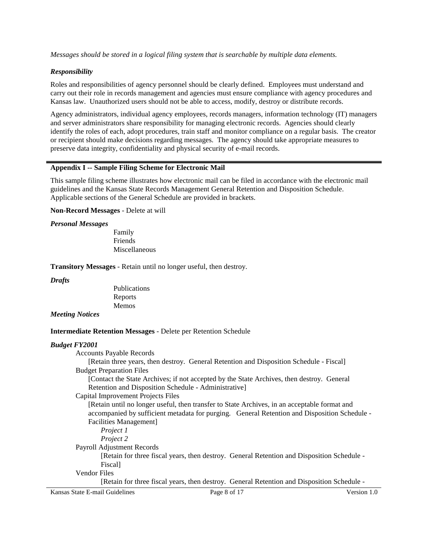*Messages should be stored in a logical filing system that is searchable by multiple data elements.*

### *Responsibility*

Roles and responsibilities of agency personnel should be clearly defined. Employees must understand and carry out their role in records management and agencies must ensure compliance with agency procedures and Kansas law. Unauthorized users should not be able to access, modify, destroy or distribute records.

Agency administrators, individual agency employees, records managers, information technology (IT) managers and server administrators share responsibility for managing electronic records. Agencies should clearly identify the roles of each, adopt procedures, train staff and monitor compliance on a regular basis. The creator or recipient should make decisions regarding messages. The agency should take appropriate measures to preserve data integrity, confidentiality and physical security of e-mail records.

#### **Appendix I -- Sample Filing Scheme for Electronic Mail**

This sample filing scheme illustrates how electronic mail can be filed in accordance with the electronic mail guidelines and the Kansas State Records Management General Retention and Disposition Schedule. Applicable sections of the General Schedule are provided in brackets.

**Non-Record Messages** - Delete at will

#### *Personal Messages*

Family Friends Miscellaneous

**Transitory Messages** - Retain until no longer useful, then destroy.

*Drafts*

Publications Reports Memos

#### *Meeting Notices*

#### **Intermediate Retention Messages** - Delete per Retention Schedule

#### *Budget FY2001*

Accounts Payable Records

[Retain three years, then destroy. General Retention and Disposition Schedule - Fiscal] Budget Preparation Files

[Contact the State Archives; if not accepted by the State Archives, then destroy. General Retention and Disposition Schedule - Administrative]

#### Capital Improvement Projects Files

[Retain until no longer useful, then transfer to State Archives, in an acceptable format and accompanied by sufficient metadata for purging. General Retention and Disposition Schedule - Facilities Management]

*Project 1*

*Project 2*

Payroll Adjustment Records

[Retain for three fiscal years, then destroy. General Retention and Disposition Schedule - Fiscal]

Vendor Files

[Retain for three fiscal years, then destroy. General Retention and Disposition Schedule -

Kansas State E-mail Guidelines Page 8 of 17 Version 1.0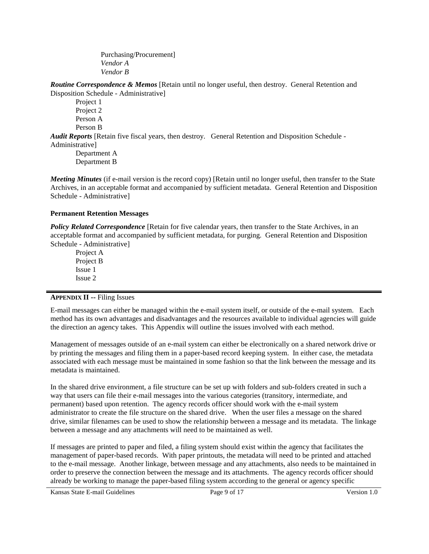Purchasing/Procurement] *Vendor A Vendor B*

*Routine Correspondence & Memos* [Retain until no longer useful, then destroy. General Retention and Disposition Schedule - Administrative]

Project 1 Project 2 Person A Person B

*Audit Reports* [Retain five fiscal years, then destroy. General Retention and Disposition Schedule - Administrative]

Department A Department B

*Meeting Minutes* (if e-mail version is the record copy) [Retain until no longer useful, then transfer to the State Archives, in an acceptable format and accompanied by sufficient metadata. General Retention and Disposition Schedule - Administrative]

# **Permanent Retention Messages**

**Policy Related Correspondence** [Retain for five calendar years, then transfer to the State Archives, in an acceptable format and accompanied by sufficient metadata, for purging. General Retention and Disposition Schedule - Administrative]

Project A Project B Issue 1 Issue 2

### **APPENDIX II --** Filing Issues

E-mail messages can either be managed within the e-mail system itself, or outside of the e-mail system. Each method has its own advantages and disadvantages and the resources available to individual agencies will guide the direction an agency takes. This Appendix will outline the issues involved with each method.

Management of messages outside of an e-mail system can either be electronically on a shared network drive or by printing the messages and filing them in a paper-based record keeping system. In either case, the metadata associated with each message must be maintained in some fashion so that the link between the message and its metadata is maintained.

In the shared drive environment, a file structure can be set up with folders and sub-folders created in such a way that users can file their e-mail messages into the various categories (transitory, intermediate, and permanent) based upon retention. The agency records officer should work with the e-mail system administrator to create the file structure on the shared drive. When the user files a message on the shared drive, similar filenames can be used to show the relationship between a message and its metadata. The linkage between a message and any attachments will need to be maintained as well.

If messages are printed to paper and filed, a filing system should exist within the agency that facilitates the management of paper-based records. With paper printouts, the metadata will need to be printed and attached to the e-mail message. Another linkage, between message and any attachments, also needs to be maintained in order to preserve the connection between the message and its attachments. The agency records officer should already be working to manage the paper-based filing system according to the general or agency specific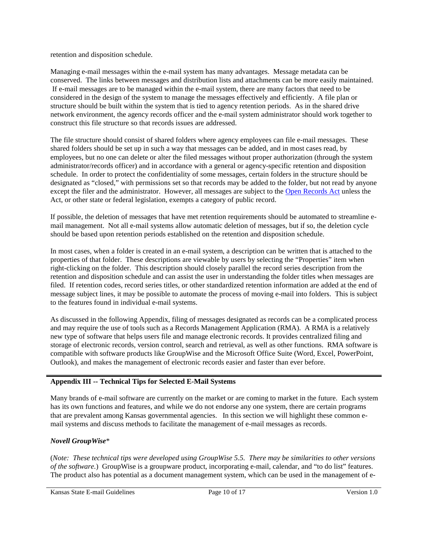retention and disposition schedule.

Managing e-mail messages within the e-mail system has many advantages. Message metadata can be conserved. The links between messages and distribution lists and attachments can be more easily maintained. If e-mail messages are to be managed within the e-mail system, there are many factors that need to be considered in the design of the system to manage the messages effectively and efficiently. A file plan or structure should be built within the system that is tied to agency retention periods. As in the shared drive network environment, the agency records officer and the e-mail system administrator should work together to construct this file structure so that records issues are addressed.

The file structure should consist of shared folders where agency employees can file e-mail messages. These shared folders should be set up in such a way that messages can be added, and in most cases read, by employees, but no one can delete or alter the filed messages without proper authorization (through the system administrator/records officer) and in accordance with a general or agency-specific retention and disposition schedule. In order to protect the confidentiality of some messages, certain folders in the structure should be designated as "closed," with permissions set so that records may be added to the folder, but not read by anyone except the filer and the administrator. However, all messages are subject to the Open Records Act unless the Act, or other state or federal legislation, exempts a category of public record.

If possible, the deletion of messages that have met retention requirements should be automated to streamline email management. Not all e-mail systems allow automatic deletion of messages, but if so, the deletion cycle should be based upon retention periods established on the retention and disposition schedule.

In most cases, when a folder is created in an e-mail system, a description can be written that is attached to the properties of that folder. These descriptions are viewable by users by selecting the "Properties" item when right-clicking on the folder. This description should closely parallel the record series description from the retention and disposition schedule and can assist the user in understanding the folder titles when messages are filed. If retention codes, record series titles, or other standardized retention information are added at the end of message subject lines, it may be possible to automate the process of moving e-mail into folders. This is subject to the features found in individual e-mail systems.

As discussed in the following Appendix, filing of messages designated as records can be a complicated process and may require the use of tools such as a Records Management Application (RMA). A RMA is a relatively new type of software that helps users file and manage electronic records. It provides centralized filing and storage of electronic records, version control, search and retrieval, as well as other functions. RMA software is compatible with software products like GroupWise and the Microsoft Office Suite (Word, Excel, PowerPoint, Outlook), and makes the management of electronic records easier and faster than ever before.

# **Appendix III -- Technical Tips for Selected E-Mail Systems**

Many brands of e-mail software are currently on the market or are coming to market in the future. Each system has its own functions and features, and while we do not endorse any one system, there are certain programs that are prevalent among Kansas governmental agencies. In this section we will highlight these common email systems and discuss methods to facilitate the management of e-mail messages as records.

# *Novell GroupWise*\*

(*Note: These technical tips were developed using GroupWise 5.5. There may be similarities to other versions of the software.*) GroupWise is a groupware product, incorporating e-mail, calendar, and "to do list" features. The product also has potential as a document management system, which can be used in the management of e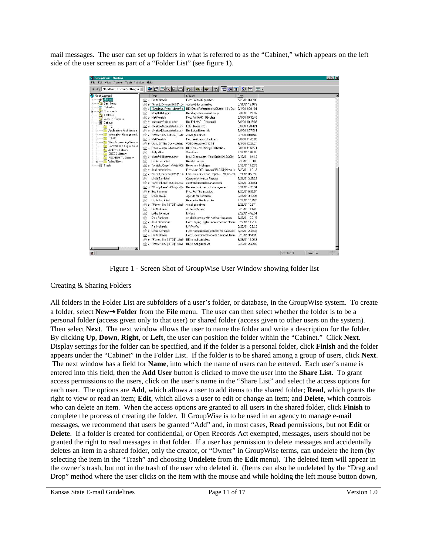mail messages. The user can set up folders in what is referred to as the "Cabinet," which appears on the left side of the user screen as part of a "Folder List" (see figure 1).

| <b>EDIX</b><br>GroupWise - Mailbox                    |               |                                                                                                                                            |                                                                                                                                         |                  |             |           |
|-------------------------------------------------------|---------------|--------------------------------------------------------------------------------------------------------------------------------------------|-----------------------------------------------------------------------------------------------------------------------------------------|------------------|-------------|-----------|
| File Edit View Actions Tools Window<br>Help           |               |                                                                                                                                            |                                                                                                                                         |                  |             |           |
| Display <mailbox custom="" settings=""></mailbox>     |               | $\bullet$ $\circ$ $\circ$ $\circ$ $\circ$                                                                                                  | S-S-2-11 画 제 T 회비 ロ-                                                                                                                    |                  |             |           |
| Scott Leonard                                         |               | From                                                                                                                                       | Subject                                                                                                                                 | Date             |             |           |
| Malbox                                                | $\boxtimes$   | Pat Michaelis                                                                                                                              | Fwd: Fall MAC question                                                                                                                  | 5/29/01 8:30:09  |             |           |
| QI Sent Items                                         | $\otimes$     | "Friend, Duncan [IMS]" <dr accessibility="" committee<="" td=""><td></td><td>5/31/01 12:16:3</td><td></td><td></td></dr>                   |                                                                                                                                         | 5/31/01 12:16:3  |             |           |
| Calendar<br>m<br><b>B</b> Documents                   | $\bigcirc$    | "Cherland, Ryan" <irmc@u< td=""><td>RE: Cross References in Chapter 18 &amp; Qui</td><td>6/1/01 4:09:10 F</td><td></td><td></td></irmc@u<> | RE: Cross References in Chapter 18 & Qui                                                                                                | 6/1/01 4:09:10 F |             |           |
| <b>QI</b> Task List                                   | Q             | MarvBeth Figgins                                                                                                                           | Readings/Discussion Group                                                                                                               | 6/4/01 9:32:09 / |             |           |
| Work In Progress                                      |               | <b>Be</b> Matt Veatch                                                                                                                      | Fwd: Fall MAC - Obsolete II                                                                                                             | 6/5/01 10:30:46  |             |           |
| Cabinet                                               | $\otimes$     | <carleton@ohiou.edu></carleton@ohiou.edu>                                                                                                  | Re: Fall MAC - Obsolete II                                                                                                              | 6/6/01 10:19:02  |             |           |
| <b>PallTC</b>                                         | ⊠₽            | <lwaldo@kdor.state.ks.us></lwaldo@kdor.state.ks.us>                                                                                        | Lotus Notes Info.                                                                                                                       | 6/6/01 1:20:42 F |             |           |
| Applications Architecture !                           | Gae.          | <lwaldo@kdor.state.ks.us></lwaldo@kdor.state.ks.us>                                                                                        | Re: Lotus Notes Info                                                                                                                    | 6/6/01 1:27:51 F |             |           |
| Information Management                                | $\boxtimes$   | "Parker, Jim [DACSC]" <jir< td=""><td>e-mail quidelines</td><td>6/7/01 10:01:48</td><td></td><td></td></jir<>                              | e-mail quidelines                                                                                                                       | 6/7/01 10:01:48  |             |           |
| <b>PallTASK</b>                                       |               | <b>Se</b> Matt Veatch                                                                                                                      | Fwd: verification of address                                                                                                            | 6/8/01 11:40:09  |             |           |
| Web Accessibility Subcon<br>Conversion & Migration SE |               | Re Verse Of The Day <votdma< td=""><td>VOTD Hebrews 3:12-14</td><td>6/8/01 12:27:21</td><td></td><td></td></votdma<>                       | VOTD Hebrews 3:12-14                                                                                                                    | 6/8/01 12:27:21  |             |           |
| Archives Listserv                                     |               | Se Dave Warner < dwarner@tn                                                                                                                | RE: ForeMost Pricing Clarification                                                                                                      | 6/8/01 4:35:57 F |             |           |
| <b>ERECS Listserv</b>                                 | Q             | Judy Miller                                                                                                                                | Vacations                                                                                                                               | 6/12/01 1:02:01  |             |           |
| RECMGMT-L Listserv                                    |               | → <lists@101comm.com></lists@101comm.com>                                                                                                  | lists.101com.com - Your Order 6/13/2001                                                                                                 | 6/13/01 11:44:3  |             |           |
| Wired News<br>田                                       | g             | Linda Barnickel                                                                                                                            | New MF lenses                                                                                                                           | 6/15/01 10:50:0  |             |           |
| Trash                                                 | ۱€            | "Wojcik, Caryn" <wojcikc( from="" michigan<="" news="" td=""><td></td><td>6/15/01 11:52:5</td><td></td><td></td></wojcikc(>                |                                                                                                                                         | 6/15/01 11:52:5  |             |           |
|                                                       | ଛ             | Joe Laframboise                                                                                                                            | Fwd: June 2001 Issue of RLG DigiNews is 6/20/01 11:01:3                                                                                 |                  |             |           |
|                                                       | $\boxtimes$ p |                                                                                                                                            | "Friend, Duncan (IMST' <d) and="" email="" guidelines="" html-based<="" td="" zaplet=""><td>6/21/01 8:56:59</td><td></td><td></td></d)> | 6/21/01 8:56:59  |             |           |
|                                                       | ⊜             | Linda Barnickel                                                                                                                            | <b>Corporation Annual Reports</b>                                                                                                       | 6/21/01 3:28:23  |             |           |
|                                                       | $\boxtimes$   | "Christy Lane" <christyl@a< td=""><td>electronic records management</td><td>6/21/01 3:37:54</td><td></td><td></td></christyl@a<>           | electronic records management                                                                                                           | 6/21/01 3:37:54  |             |           |
|                                                       | 的             | "Christy Lane" <christyl@a< td=""><td>Re: electronic records management</td><td>6/21/01 4:28:34</td><td></td><td></td></christyl@a<>       | Re: electronic records management                                                                                                       | 6/21/01 4:28:34  |             |           |
|                                                       | $\otimes$     | <b>Bob McInnes</b>                                                                                                                         | Fwd: Fw: The interview                                                                                                                  | 6/25/01 9:32:57  |             |           |
|                                                       | g             | David Haurv                                                                                                                                | Agenda for Tomorrow                                                                                                                     | 6/25/01 3:13:35  |             |           |
|                                                       | ⊝             | Linda Barnickel                                                                                                                            | Groupwise Guide to Life                                                                                                                 | 6/26/01 10:25:5  |             |           |
|                                                       | $\boxtimes$   | "Parker, Jim [KITO]" <jim.f< td=""><td>e-mail quidelines</td><td>6/26/01 10:57:1</td><td></td><td></td></jim.f<>                           | e-mail quidelines                                                                                                                       | 6/26/01 10:57:1  |             |           |
|                                                       | g             | Pat Michaelis                                                                                                                              | Archives Week                                                                                                                           | 6/26/01 11:44:5  |             |           |
|                                                       | ⊜             | Letha Johnson                                                                                                                              | F Becs                                                                                                                                  | 6/26/01 4:53:54  |             |           |
|                                                       | ଛ             | Dick Pankratz                                                                                                                              | on-site interview with Katrina Klingaman                                                                                                | 6/27/01 10:01:5  |             |           |
|                                                       |               | Se Joe Laframboise                                                                                                                         | Fwd: Staying Digital - new report on electr( 6/27/01 11:21:0                                                                            |                  |             |           |
|                                                       | ଛ             | Pat Michaelis                                                                                                                              | L/A WWW                                                                                                                                 | 6/28/01 10:22:2  |             |           |
|                                                       |               | Se Linda Barnickel                                                                                                                         | Fwd: Public records requests for database 6/28/01 2:45:33                                                                               |                  |             |           |
|                                                       | $\boxtimes$   | Pat Michaelis                                                                                                                              | Fwd: Government Records Section Electr( 6/28/01 3:54:26                                                                                 |                  |             |           |
|                                                       |               | Se "Parker, Jim [KITO]" <jim.f< td=""><td>RE: e-mail guidelines</td><td>6/29/01 12:50:2</td><td></td><td></td></jim.f<>                    | RE: e-mail guidelines                                                                                                                   | 6/29/01 12:50:2  |             |           |
|                                                       |               | Parker, Jim [KITO]" <jim.f e-mail="" guidelines<="" re:="" td=""><td></td><td>6/29/01 2:43:03</td><td></td><td></td></jim.f>               |                                                                                                                                         | 6/29/01 2:43:03  |             |           |
| $\mathbf{E}$                                          |               |                                                                                                                                            |                                                                                                                                         |                  |             |           |
| $\mathbf{2}$                                          |               |                                                                                                                                            |                                                                                                                                         |                  | Selected: 1 | Total: 64 |
|                                                       |               |                                                                                                                                            |                                                                                                                                         |                  |             |           |

Figure 1 - Screen Shot of GroupWise User Window showing folder list

### Creating & Sharing Folders

All folders in the Folder List are subfolders of a user's folder, or database, in the GroupWise system. To create a folder, select **New**→**Folder** from the **File** menu. The user can then select whether the folder is to be a personal folder (access given only to that user) or shared folder (access given to other users on the system). Then select **Next**. The next window allows the user to name the folder and write a description for the folder. By clicking **Up**, **Down**, **Right**, or **Left**, the user can position the folder within the "Cabinet." Click **Next**. Display settings for the folder can be specified, and if the folder is a personal folder, click **Finish** and the folder appears under the "Cabinet" in the Folder List. If the folder is to be shared among a group of users, click **Next**. The next window has a field for **Name**, into which the name of users can be entered. Each user's name is entered into this field, then the **Add User** button is clicked to move the user into the **Share List**. To grant access permissions to the users, click on the user's name in the "Share List" and select the access options for each user. The options are **Add**, which allows a user to add items to the shared folder; **Read**, which grants the right to view or read an item; **Edit**, which allows a user to edit or change an item; and **Delete**, which controls who can delete an item. When the access options are granted to all users in the shared folder, click **Finish** to complete the process of creating the folder. If GroupWise is to be used in an agency to manage e-mail messages, we recommend that users be granted "Add" and, in most cases, **Read** permissions, but not **Edit** or **Delete**. If a folder is created for confidential, or Open Records Act exempted, messages, users should not be granted the right to read messages in that folder. If a user has permission to delete messages and accidentally deletes an item in a shared folder, only the creator, or "Owner" in GroupWise terms, can undelete the item (by selecting the item in the "Trash" and choosing **Undelete** from the **Edit** menu). The deleted item will appear in the owner's trash, but not in the trash of the user who deleted it. (Items can also be undeleted by the "Drag and Drop" method where the user clicks on the item with the mouse and while holding the left mouse button down,

Kansas State E-mail Guidelines Page 11 of 17 Version 1.0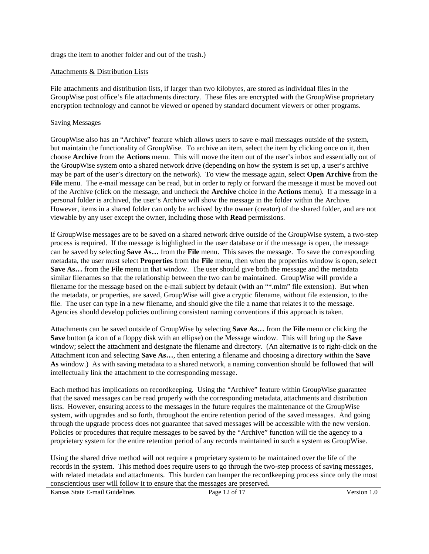drags the item to another folder and out of the trash.)

#### Attachments & Distribution Lists

File attachments and distribution lists, if larger than two kilobytes, are stored as individual files in the GroupWise post office's file attachments directory. These files are encrypted with the GroupWise proprietary encryption technology and cannot be viewed or opened by standard document viewers or other programs.

### Saving Messages

GroupWise also has an "Archive" feature which allows users to save e-mail messages outside of the system, but maintain the functionality of GroupWise. To archive an item, select the item by clicking once on it, then choose **Archive** from the **Actions** menu. This will move the item out of the user's inbox and essentially out of the GroupWise system onto a shared network drive (depending on how the system is set up, a user's archive may be part of the user's directory on the network). To view the message again, select **Open Archive** from the **File** menu. The e-mail message can be read, but in order to reply or forward the message it must be moved out of the Archive (click on the message, and uncheck the **Archive** choice in the **Actions** menu). If a message in a personal folder is archived, the user's Archive will show the message in the folder within the Archive. However, items in a shared folder can only be archived by the owner (creator) of the shared folder, and are not viewable by any user except the owner, including those with **Read** permissions.

If GroupWise messages are to be saved on a shared network drive outside of the GroupWise system, a two-step process is required. If the message is highlighted in the user database or if the message is open, the message can be saved by selecting **Save As…** from the **File** menu. This saves the message. To save the corresponding metadata, the user must select **Properties** from the **File** menu, then when the properties window is open, select **Save As…** from the **File** menu in that window. The user should give both the message and the metadata similar filenames so that the relationship between the two can be maintained. GroupWise will provide a filename for the message based on the e-mail subject by default (with an "\*.mlm" file extension). But when the metadata, or properties, are saved, GroupWise will give a cryptic filename, without file extension, to the file. The user can type in a new filename, and should give the file a name that relates it to the message. Agencies should develop policies outlining consistent naming conventions if this approach is taken.

Attachments can be saved outside of GroupWise by selecting **Save As…** from the **File** menu or clicking the **Save** button (a icon of a floppy disk with an ellipse) on the Message window. This will bring up the **Save** window; select the attachment and designate the filename and directory. (An alternative is to right-click on the Attachment icon and selecting **Save As…**, then entering a filename and choosing a directory within the **Save As** window.) As with saving metadata to a shared network, a naming convention should be followed that will intellectually link the attachment to the corresponding message.

Each method has implications on recordkeeping. Using the "Archive" feature within GroupWise guarantee that the saved messages can be read properly with the corresponding metadata, attachments and distribution lists. However, ensuring access to the messages in the future requires the maintenance of the GroupWise system, with upgrades and so forth, throughout the entire retention period of the saved messages. And going through the upgrade process does not guarantee that saved messages will be accessible with the new version. Policies or procedures that require messages to be saved by the "Archive" function will tie the agency to a proprietary system for the entire retention period of any records maintained in such a system as GroupWise.

Using the shared drive method will not require a proprietary system to be maintained over the life of the records in the system. This method does require users to go through the two-step process of saving messages, with related metadata and attachments. This burden can hamper the recordkeeping process since only the most conscientious user will follow it to ensure that the messages are preserved.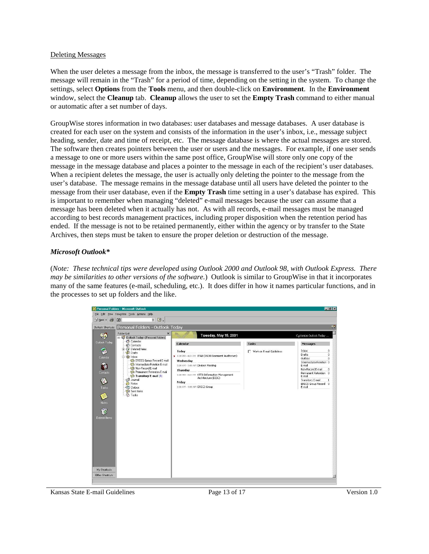#### Deleting Messages

When the user deletes a message from the inbox, the message is transferred to the user's "Trash" folder. The message will remain in the "Trash" for a period of time, depending on the setting in the system. To change the settings, select **Options** from the **Tools** menu, and then double-click on **Environment**. In the **Environment** window, select the **Cleanup** tab. **Cleanup** allows the user to set the **Empty Trash** command to either manual or automatic after a set number of days.

GroupWise stores information in two databases: user databases and message databases. A user database is created for each user on the system and consists of the information in the user's inbox, i.e., message subject heading, sender, date and time of receipt, etc. The message database is where the actual messages are stored. The software then creates pointers between the user or users and the messages. For example, if one user sends a message to one or more users within the same post office, GroupWise will store only one copy of the message in the message database and places a pointer to the message in each of the recipient's user databases. When a recipient deletes the message, the user is actually only deleting the pointer to the message from the user's database. The message remains in the message database until all users have deleted the pointer to the message from their user database, even if the **Empty Trash** time setting in a user's database has expired. This is important to remember when managing "deleted" e-mail messages because the user can assume that a message has been deleted when it actually has not. As with all records, e-mail messages must be managed according to best records management practices, including proper disposition when the retention period has ended. If the message is not to be retained permanently, either within the agency or by transfer to the State Archives, then steps must be taken to ensure the proper deletion or destruction of the message.

### *Microsoft Outlook\**

(*Note: These technical tips were developed using Outlook 2000 and Outlook 98, with Outlook Express. There may be similarities to other versions of the software.*) Outlook is similar to GroupWise in that it incorporates many of the same features (e-mail, scheduling, etc.). It does differ in how it names particular functions, and in the processes to set up folders and the like.



Kansas State E-mail Guidelines Page 13 of 17 Version 1.0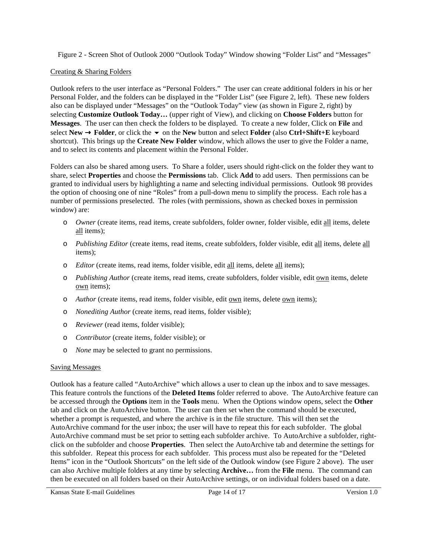Figure 2 - Screen Shot of Outlook 2000 "Outlook Today" Window showing "Folder List" and "Messages"

# Creating & Sharing Folders

Outlook refers to the user interface as "Personal Folders." The user can create additional folders in his or her Personal Folder, and the folders can be displayed in the "Folder List" (see Figure 2, left). These new folders also can be displayed under "Messages" on the "Outlook Today" view (as shown in Figure 2, right) by selecting **Customize Outlook Today…** (upper right of View), and clicking on **Choose Folders** button for **Messages**. The user can then check the folders to be displayed. To create a new folder, Click on **File** and select **New**  $\rightarrow$  **Folder**, or click the  $\rightarrow$  on the **New** button and select **Folder** (also **Ctrl+Shift+E** keyboard shortcut). This brings up the **Create New Folder** window, which allows the user to give the Folder a name, and to select its contents and placement within the Personal Folder.

Folders can also be shared among users. To Share a folder, users should right-click on the folder they want to share, select **Properties** and choose the **Permissions** tab. Click **Add** to add users. Then permissions can be granted to individual users by highlighting a name and selecting individual permissions. Outlook 98 provides the option of choosing one of nine "Roles" from a pull-down menu to simplify the process. Each role has a number of permissions preselected. The roles (with permissions, shown as checked boxes in permission window) are:

- o *Owner* (create items, read items, create subfolders, folder owner, folder visible, edit all items, delete all items);
- o *Publishing Editor* (create items, read items, create subfolders, folder visible, edit all items, delete all items);
- o *Editor* (create items, read items, folder visible, edit all items, delete all items);
- o *Publishing Author* (create items, read items, create subfolders, folder visible, edit own items, delete own items);
- o *Author* (create items, read items, folder visible, edit own items, delete own items);
- o *Nonediting Author* (create items, read items, folder visible);
- o *Reviewer* (read items, folder visible);
- o *Contributor* (create items, folder visible); or
- o *None* may be selected to grant no permissions.

# Saving Messages

Outlook has a feature called "AutoArchive" which allows a user to clean up the inbox and to save messages. This feature controls the functions of the **Deleted Items** folder referred to above. The AutoArchive feature can be accessed through the **Options** item in the **Tools** menu. When the Options window opens, select the **Other** tab and click on the AutoArchive button. The user can then set when the command should be executed, whether a prompt is requested, and where the archive is in the file structure. This will then set the AutoArchive command for the user inbox; the user will have to repeat this for each subfolder. The global AutoArchive command must be set prior to setting each subfolder archive. To AutoArchive a subfolder, rightclick on the subfolder and choose **Properties**. Then select the AutoArchive tab and determine the settings for this subfolder. Repeat this process for each subfolder. This process must also be repeated for the "Deleted Items" icon in the "Outlook Shortcuts" on the left side of the Outlook window (see Figure 2 above). The user can also Archive multiple folders at any time by selecting **Archive…** from the **File** menu. The command can then be executed on all folders based on their AutoArchive settings, or on individual folders based on a date.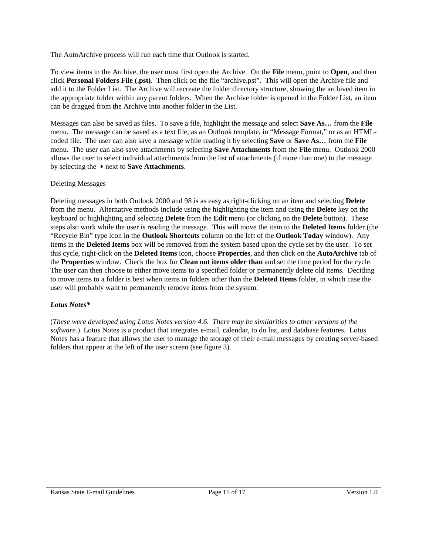The AutoArchive process will run each time that Outlook is started.

To view items in the Archive, the user must first open the Archive. On the **File** menu, point to **Open**, and then click **Personal Folders File (.pst)**. Then click on the file "archive.pst". This will open the Archive file and add it to the Folder List. The Archive will recreate the folder directory structure, showing the archived item in the appropriate folder within any parent folders. When the Archive folder is opened in the Folder List, an item can be dragged from the Archive into another folder in the List.

Messages can also be saved as files. To save a file, highlight the message and select **Save As…** from the **File** menu. The message can be saved as a text file, as an Outlook template, in "Message Format," or as an HTMLcoded file. The user can also save a message while reading it by selecting **Save** or **Save As…** from the **File** menu. The user can also save attachments by selecting **Save Attachments** from the **File** menu. Outlook 2000 allows the user to select individual attachments from the list of attachments (if more than one) to the message by selecting the -next to **Save Attachments**.

# Deleting Messages

Deleting messages in both Outlook 2000 and 98 is as easy as right-clicking on an item and selecting **Delete** from the menu. Alternative methods include using the highlighting the item and using the **Delete** key on the keyboard or highlighting and selecting **Delete** from the **Edit** menu (or clicking on the **Delete** button). These steps also work while the user is reading the message. This will move the item to the **Deleted Items** folder (the "Recycle Bin" type icon in the **Outlook Shortcuts** column on the left of the **Outlook Today** window). Any items in the **Deleted Items** box will be removed from the system based upon the cycle set by the user. To set this cycle, right-click on the **Deleted Items** icon, choose **Properties**, and then click on the **AutoArchive** tab of the **Properties** window. Check the box for **Clean out items older than** and set the time period for the cycle. The user can then choose to either move items to a specified folder or permanently delete old items. Deciding to move items to a folder is best when items in folders other than the **Deleted Items** folder, in which case the user will probably want to permanently remove items from the system.

# *Lotus Notes\**

(*These were developed using Lotus Notes version 4.6. There may be similarities to other versions of the software.*) Lotus Notes is a product that integrates e-mail, calendar, to do list, and database features. Lotus Notes has a feature that allows the user to manage the storage of their e-mail messages by creating server-based folders that appear at the left of the user screen (see figure 3).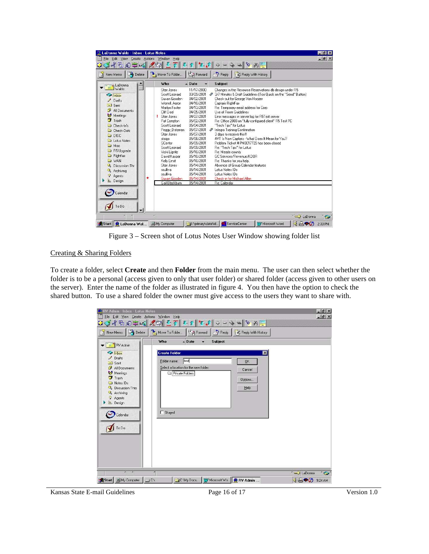| $\bigoplus$ Reply<br>Delete<br>(but Forward<br>Move To Folder<br>Reply With History<br>New Memo<br>Who<br>$\triangle$ Date<br><b>Subject</b><br>a LaDonna<br>11/17/2000<br>Changes in the Resource Reservations db design under R5<br>Stan Jones<br>Scott Leonard<br>03/29/2001<br>2 3/7 Minutes & Draft Guidelines (Too Quick on the "Send" Button)<br>Inbox<br>04/02/2001<br>Susan Gooden<br>Check-out for George Van Hoozer<br>$\angle$ Drafts<br>Worrell, Aaron<br>04/10/2001<br>Captaris RightFax<br>is Sent<br>04/13/2001<br>Re: Temporary email address for Corp.<br>Marilyn Foster<br>All Documents<br>04/25/2001<br>Lise of Room Guidelines<br>Cliff Doel<br>Meetings<br>04/27/2001<br>Stan Jones<br>Error messages in server log for R5T est server<br>$\overline{\mathbf{J}}$ Trash<br>05/02/2001<br>Re: Office 2000 on "fully configured client" R5 Test PC<br>Pat Compton<br>Scott Leonard<br>05/04/2001<br>"Tech Tips" for Lotus<br>Check-In's<br>Peggy Dotzman<br>05/07/2001<br>P Integro Training Confirmation<br>Check-Outs<br>Stan Jones<br>05/07/2001<br>3 days to receive this!!!<br><b>C</b> DISC<br>AVT Is Now Captaris - What Does It Mean for You?<br>stoigo<br>05/08/2001<br>Lotus Notes<br>Problem Ticket # PM0017729 has been closed.<br><b>SCenter</b><br>05/09/2001<br>C Misc<br>Scott Leonard<br>05/09/2001<br>Re: "Tech Tips" for Lotus<br>B R5 Upgrade<br>05/10/2001<br>Vicki Lianitz<br>Re: Meade county<br><b>Bightfax</b><br>05/10/2001<br>GC Services/Revenue/KDOR<br>David Kaspar<br><b>O</b> WAN<br>Kelly Ernst<br>05/10/2001<br>Re: Thanks for you help.<br>Stan Jones<br>05/14/2001<br>Absence of Group Calendar features<br><b>Q</b> Discussion Thr<br>evilliva<br>05/14/2001<br>Lotus Notes IDs<br>& Archiving<br>05/14/2001<br>ssulliva<br>Lotus Notes IDs<br>Agents<br>$\star$<br>Check-in for Michael Allen<br>Susan Gooden<br>05/14/2001<br><b>Design</b><br>Gail Blackburn<br>05/14/2001<br>Re: Calendar<br>Calendar | 第中四<br>$\mathcal{L} = \mathcal{L}$ | $\mathbf{F}_{\mathbf{r}}$ | 合好一个 小女子<br>8 的三 |  |
|---------------------------------------------------------------------------------------------------------------------------------------------------------------------------------------------------------------------------------------------------------------------------------------------------------------------------------------------------------------------------------------------------------------------------------------------------------------------------------------------------------------------------------------------------------------------------------------------------------------------------------------------------------------------------------------------------------------------------------------------------------------------------------------------------------------------------------------------------------------------------------------------------------------------------------------------------------------------------------------------------------------------------------------------------------------------------------------------------------------------------------------------------------------------------------------------------------------------------------------------------------------------------------------------------------------------------------------------------------------------------------------------------------------------------------------------------------------------------------------------------------------------------------------------------------------------------------------------------------------------------------------------------------------------------------------------------------------------------------------------------------------------------------------------------------------------------------------------------------------------------------------------------------------------------------------------------------------------|------------------------------------|---------------------------|------------------|--|
|                                                                                                                                                                                                                                                                                                                                                                                                                                                                                                                                                                                                                                                                                                                                                                                                                                                                                                                                                                                                                                                                                                                                                                                                                                                                                                                                                                                                                                                                                                                                                                                                                                                                                                                                                                                                                                                                                                                                                                     |                                    |                           |                  |  |
|                                                                                                                                                                                                                                                                                                                                                                                                                                                                                                                                                                                                                                                                                                                                                                                                                                                                                                                                                                                                                                                                                                                                                                                                                                                                                                                                                                                                                                                                                                                                                                                                                                                                                                                                                                                                                                                                                                                                                                     |                                    |                           |                  |  |
| ۳                                                                                                                                                                                                                                                                                                                                                                                                                                                                                                                                                                                                                                                                                                                                                                                                                                                                                                                                                                                                                                                                                                                                                                                                                                                                                                                                                                                                                                                                                                                                                                                                                                                                                                                                                                                                                                                                                                                                                                   | ToDo                               |                           |                  |  |

Figure 3 – Screen shot of Lotus Notes User Window showing folder list

### Creating & Sharing Folders

To create a folder, select **Create** and then **Folder** from the main menu. The user can then select whether the folder is to be a personal (access given to only that user folder) or shared folder (access given to other users on the server). Enter the name of the folder as illustrated in figure 4. You then have the option to check the shared button. To use a shared folder the owner must give access to the users they want to share with.

| RV Admin - Inbox - Lotus Notes<br>File Edit View Create Actions Window Help                          |                                                                                                                                                                  | $-5x$<br>$ B$ $\times$         |
|------------------------------------------------------------------------------------------------------|------------------------------------------------------------------------------------------------------------------------------------------------------------------|--------------------------------|
| 34507                                                                                                | 《中王不平台文科中一中国》为第                                                                                                                                                  |                                |
| $\frac{1}{2}$ Delete<br>New Memo<br>N                                                                | Forward<br>Move To Folder<br>$\Rightarrow$ Reply<br>Reply With History                                                                                           |                                |
| $\blacktriangledown$ $\begin{bmatrix} \blacksquare & \blacksquare \end{bmatrix}$ RV Admin            | $\triangle$ Date<br>Who<br>Subject<br>۰                                                                                                                          |                                |
| Inbox<br>$\angle$ Drafts<br>is'l Sent<br>đ<br>All Documents                                          | <b>Create Folder</b><br>$\overline{\mathbf{x}}$<br>test<br>Folder name:<br>$\underline{\mathsf{D}}\mathsf{K}$<br>Select a location for the new folder:<br>Cancel |                                |
| Meetings<br>$J$ Trash<br>Notes IDs<br>Q. Discussion Thre<br>& Archiving<br>Agents<br><b>b</b> Design | Private Folders<br>Options<br>Help                                                                                                                               |                                |
| Calendar<br>ToDo                                                                                     | $\Gamma$ Shared                                                                                                                                                  |                                |
| ×<br>×                                                                                               | ×                                                                                                                                                                | <b>Co</b> LaDonna<br>$\bullet$ |
| <b>马My Computer</b><br><b>B</b> Start                                                                | C.Wy Docu TV Microsoft Wo NY Admin<br>$\Box$ C:\                                                                                                                 | 4890<br>9:24 AM                |

Kansas State E-mail Guidelines Page 16 of 17 Version 1.0